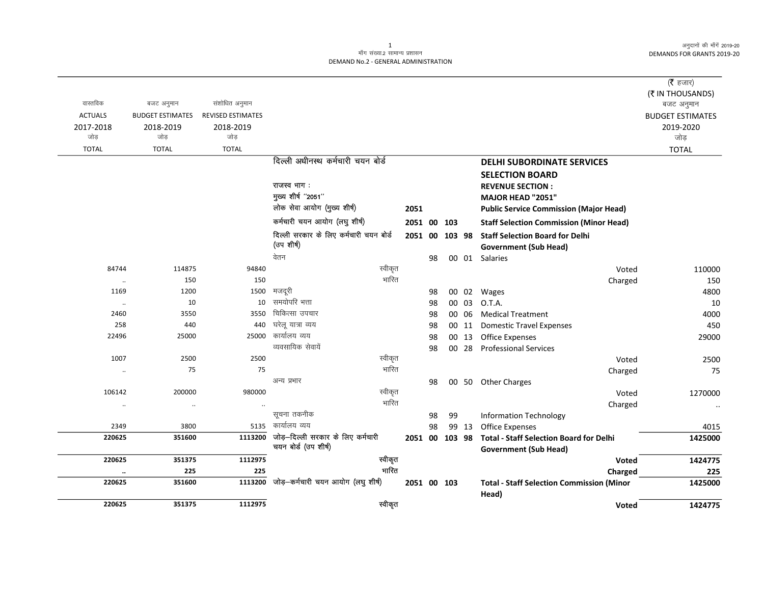अनुदानों की माँगें 2019-20 DEMANDS FOR GRANTS 2019-20

## .<br>माँग संख्या.2 सामान्य प्रशासन DEMAND No.2 - GENERAL ADMINISTRATION

|                      |                         |                          |                                                           |         |                |    |        |       |                                                                                | ( $\bar{\tau}$ हजार)    |
|----------------------|-------------------------|--------------------------|-----------------------------------------------------------|---------|----------------|----|--------|-------|--------------------------------------------------------------------------------|-------------------------|
|                      |                         |                          |                                                           |         |                |    |        |       |                                                                                | (₹ IN THOUSANDS)        |
| वास्तविक             | बजट अनुमान              | संशोधित अनुमान           |                                                           |         |                |    |        |       |                                                                                | बजट अनुमान              |
| <b>ACTUALS</b>       | <b>BUDGET ESTIMATES</b> | <b>REVISED ESTIMATES</b> |                                                           |         |                |    |        |       |                                                                                | <b>BUDGET ESTIMATES</b> |
| 2017-2018            | 2018-2019               | 2018-2019                |                                                           |         |                |    |        |       |                                                                                | 2019-2020               |
| जोड                  | जोड                     | जोड                      |                                                           |         |                |    |        |       |                                                                                | जोड़                    |
| <b>TOTAL</b>         | <b>TOTAL</b>            | <b>TOTAL</b>             |                                                           |         |                |    |        |       |                                                                                | <b>TOTAL</b>            |
|                      |                         |                          | दिल्ली अधीनस्थ कर्मचारी चयन बोर्ड                         |         |                |    |        |       | <b>DELHI SUBORDINATE SERVICES</b>                                              |                         |
|                      |                         |                          |                                                           |         |                |    |        |       | <b>SELECTION BOARD</b>                                                         |                         |
|                      |                         |                          | राजस्व भाग:                                               |         |                |    |        |       | <b>REVENUE SECTION:</b>                                                        |                         |
|                      |                         |                          | मुख्य शीर्ष "2051"                                        |         |                |    |        |       | MAJOR HEAD "2051"                                                              |                         |
|                      |                         |                          | लोक सेवा आयोग (मुख्य शीर्ष)                               |         | 2051           |    |        |       | <b>Public Service Commission (Major Head)</b>                                  |                         |
|                      |                         |                          | कर्मचारी चयन आयोग (लघु शीर्ष)                             |         | 2051 00 103    |    |        |       | <b>Staff Selection Commission (Minor Head)</b>                                 |                         |
|                      |                         |                          | दिल्ली सरकार के लिए कर्मचारी चयन बोर्ड<br>(उप शीर्ष)      |         | 2051 00        |    | 103 98 |       | <b>Staff Selection Board for Delhi</b><br><b>Government (Sub Head)</b>         |                         |
|                      |                         |                          | वेतन                                                      |         |                | 98 |        |       | 00 01 Salaries                                                                 |                         |
| 84744                | 114875                  | 94840                    |                                                           | स्वीकृत |                |    |        |       | Voted                                                                          | 110000                  |
| $\ddotsc$            | 150                     | 150                      |                                                           | भारित   |                |    |        |       | Charged                                                                        | 150                     |
| 1169                 | 1200                    | 1500                     | मजदूरी                                                    |         |                | 98 |        |       | 00 02 Wages                                                                    | 4800                    |
| $\ldots$             | 10                      | 10                       | समयोपरि भत्ता                                             |         |                | 98 |        | 00 03 | O.T.A.                                                                         | 10                      |
| 2460                 | 3550                    | 3550                     | चिकित्सा उपचार                                            |         |                | 98 |        | 00 06 | <b>Medical Treatment</b>                                                       | 4000                    |
| 258                  | 440                     | 440                      | घरेलू यात्रा व्यय                                         |         |                | 98 |        |       | 00 11 Domestic Travel Expenses                                                 | 450                     |
| 22496                | 25000                   | 25000                    | कार्यालय व्यय                                             |         |                | 98 |        | 00 13 | Office Expenses                                                                | 29000                   |
|                      |                         |                          | व्यवसायिक सेवायें                                         |         |                | 98 |        | 00 28 | <b>Professional Services</b>                                                   |                         |
| 1007                 | 2500                    | 2500                     |                                                           | स्वीकृत |                |    |        |       | Voted                                                                          | 2500                    |
| $\ddotsc$            | 75                      | 75                       |                                                           | भारित   |                |    |        |       | Charged                                                                        | 75                      |
|                      |                         |                          | अन्य प्रभार                                               |         |                | 98 |        |       | 00 50 Other Charges                                                            |                         |
| 106142               | 200000                  | 980000                   |                                                           | स्वीकृत |                |    |        |       | Voted                                                                          | 1270000                 |
| $\ddotsc$            | $\cdot$                 | $\ddotsc$                |                                                           | भारित   |                |    |        |       | Charged                                                                        |                         |
|                      |                         |                          | सूचना तकनीक                                               |         |                | 98 | 99     |       | <b>Information Technology</b>                                                  |                         |
| 2349                 | 3800                    | 5135                     | कार्यालय व्यय                                             |         |                | 98 |        | 99 13 | <b>Office Expenses</b>                                                         | 4015                    |
| 220625               | 351600                  | 1113200                  | जोड़-दिल्ली सरकार के लिए कर्मचारी<br>चयन बोर्ड (उप शीर्ष) |         | 2051 00 103 98 |    |        |       | <b>Total - Staff Selection Board for Delhi</b><br><b>Government (Sub Head)</b> | 1425000                 |
| 220625               | 351375                  | 1112975                  |                                                           | स्वीकृत |                |    |        |       | <b>Voted</b>                                                                   | 1424775                 |
| $\ddot{\phantom{a}}$ | 225                     | 225                      |                                                           | भारित   |                |    |        |       | Charged                                                                        | 225                     |
| 220625               | 351600                  | 1113200                  | जोड़-कर्मचारी चयन आयोग (लघु शीर्ष)                        |         | 2051 00 103    |    |        |       | <b>Total - Staff Selection Commission (Minor</b><br>Head)                      | 1425000                 |
| 220625               | 351375                  | 1112975                  |                                                           | स्वीकृत |                |    |        |       | <b>Voted</b>                                                                   | 1424775                 |

 $\mathbf{1}$